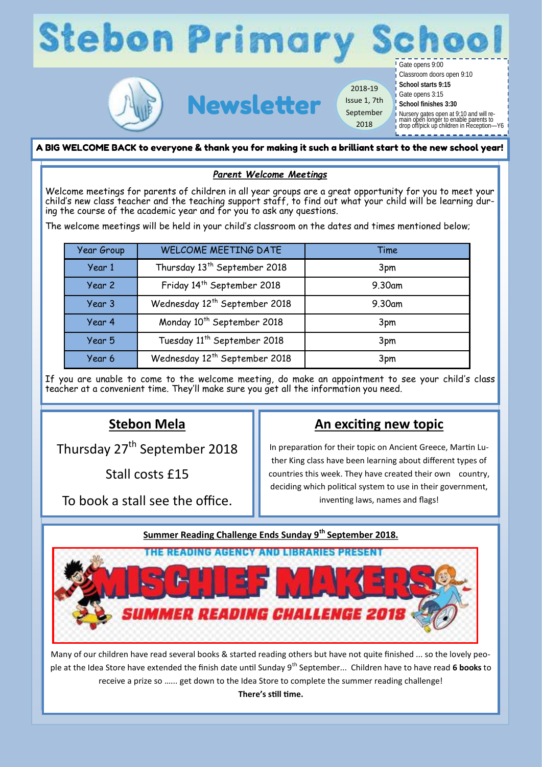



Newsletter 2018-19 Issue 1, 7th September 2018

Classroom doors open 9:10

**School starts 9:15**

Gate opens 3:15 **School finishes 3:30**

Nursery gates open at 9:10 and will re-main open longer to enable parents to drop off/pick up children in Reception—Y6

A BIG WELCOME BACK to everyone & thank you for making it such a brilliant start to the new school year!

# *Parent Welcome Meetings*

Welcome meetings for parents of children in all year groups are a great opportunity for you to meet your child's new class teacher and the teaching support staff, to find out what your child will be learning during the course of the academic year and for you to ask any questions.

The welcome meetings will be held in your child's classroom on the dates and times mentioned below;

| <b>Year Group</b> | <b>WELCOME MEETING DATE</b>               | Time   |
|-------------------|-------------------------------------------|--------|
| Year 1            | Thursday 13 <sup>th</sup> September 2018  | 3pm    |
| Year 2            | Friday 14th September 2018                | 9.30am |
| Year 3            | Wednesday 12 <sup>th</sup> September 2018 | 9.30am |
| Year 4            | Monday 10 <sup>th</sup> September 2018    | 3pm    |
| Year 5            | Tuesday 11 <sup>th</sup> September 2018   | 3pm    |
| Year 6            | Wednesday 12 <sup>th</sup> September 2018 | 3pm    |

If you are unable to come to the welcome meeting, do make an appointment to see your child's class teacher at a convenient time. They'll make sure you get all the information you need.

# **Stebon Mela**

Thursday 27<sup>th</sup> September 2018

Stall costs £15

To book a stall see the office.

# **An exciting new topic**

In preparation for their topic on Ancient Greece, Martin Luther King class have been learning about different types of countries this week. They have created their own country, deciding which political system to use in their government, inventing laws, names and flags!

# **Summer Reading Challenge Ends Sunday 9th September 2018.**



Many of our children have read several books & started reading others but have not quite finished ... so the lovely people at the Idea Store have extended the finish date until Sunday 9<sup>th</sup> September... Children have to have read 6 books to receive a prize so …... get down to the Idea Store to complete the summer reading challenge!

**There's still time.**